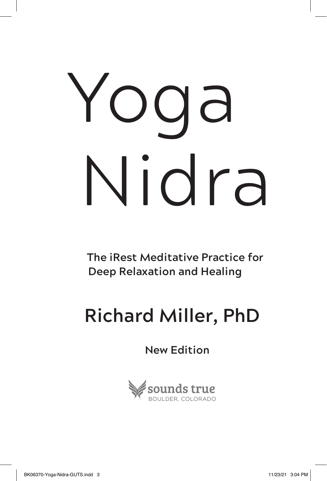# Yoga Nidra

**The iRest Meditative Practice for Deep Relaxation and Healing**

## **Richard Miller, PhD**

**New Edition**

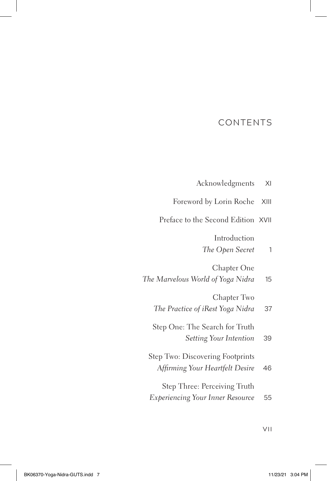#### CONTENTS

|  |  | Acknowledgments | ΧI |
|--|--|-----------------|----|
|--|--|-----------------|----|

| Foreword by Lorin Roche XIII |  |  |  |  |
|------------------------------|--|--|--|--|
|------------------------------|--|--|--|--|

Preface to the Second Edition XVII

Introduction

*The Open Secret* 1

Chapter One

|  |  | The Marvelous World of Yoga Nidra |  |  |  |  |  |  |  | 15 |
|--|--|-----------------------------------|--|--|--|--|--|--|--|----|
|--|--|-----------------------------------|--|--|--|--|--|--|--|----|

Chapter Two

|  | The Practice of iRest Yoga Nidra |  |  |  |  | 37 |
|--|----------------------------------|--|--|--|--|----|
|--|----------------------------------|--|--|--|--|----|

Step One: The Search for Truth

*Setting Your Intention* 39

| Step Two: Discovering Footprints |     |
|----------------------------------|-----|
| Affirming Your Heartfelt Desire  | -46 |
| Step Three: Perceiving Truth     |     |

*Experiencing Your Inner Resource* 55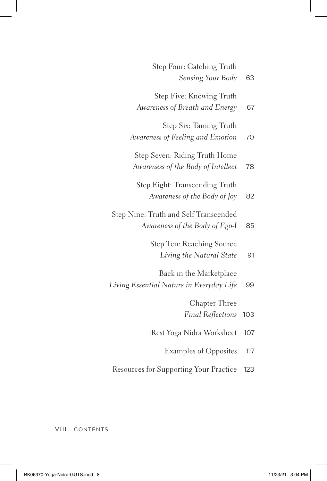| 63  | Step Four: Catching Truth<br>Sensing Your Body                          |
|-----|-------------------------------------------------------------------------|
| 67  | Step Five: Knowing Truth<br>Awareness of Breath and Energy              |
| 70  | Step Six: Taming Truth<br>Awareness of Feeling and Emotion              |
| 78  | Step Seven: Riding Truth Home<br>Awareness of the Body of Intellect     |
| 82  | Step Eight: Transcending Truth<br>Awareness of the Body of Joy          |
| 85  | Step Nine: Truth and Self Transcended<br>Awareness of the Body of Ego-I |
| 91  | Step Ten: Reaching Source<br>Living the Natural State                   |
| 99  | Back in the Marketplace<br>Living Essential Nature in Everyday Life     |
| 103 | Chapter Three<br><b>Final Reflections</b>                               |
| 107 | iRest Yoga Nidra Worksheet                                              |
| 117 | <b>Examples of Opposites</b>                                            |
| 123 | Resources for Supporting Your Practice                                  |

VIII CONTENTS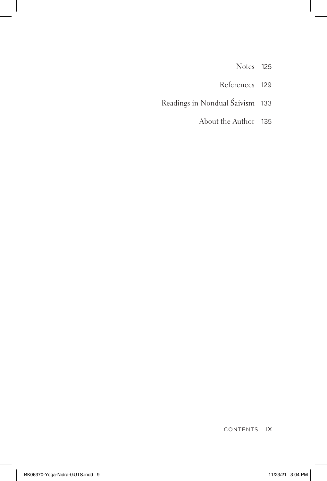- Notes 125
- References 129
- Readings in Nondual Śaivism 133
	- About the Author 135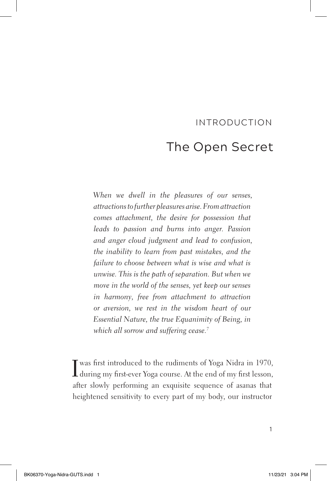### INTRODUCTION The Open Secret

*When we dwell in the pleasures of our senses, attractions to further pleasures arise. From attraction comes attachment, the desire for possession that leads to passion and burns into anger. Passion and anger cloud judgment and lead to confusion, the inability to learn from past mistakes, and the failure to choose between what is wise and what is unwise. This is the path of separation. But when we move in the world of the senses, yet keep our senses in harmony, free from attachment to attraction or aversion, we rest in the wisdom heart of our Essential Nature, the true Equanimity of Being, in which all sorrow and suffering cease. 7*

I was first introduced to the rudiments of Yoga Nidra in 1970, during my first-ever Yoga course. At the end of my first lesson, after slowly performing an exquisite sequence of asanas that heightened sensitivity to every part of my body, our instructor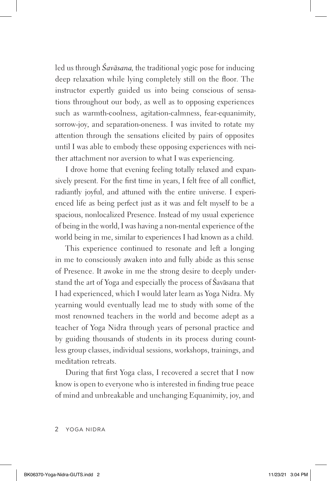led us through *Savāsana*, the traditional yogic pose for inducing deep relaxation while lying completely still on the floor. The instructor expertly guided us into being conscious of sensations throughout our body, as well as to opposing experiences such as warmth-coolness, agitation-calmness, fear-equanimity, sorrow-joy, and separation-oneness. I was invited to rotate my attention through the sensations elicited by pairs of opposites until I was able to embody these opposing experiences with neither attachment nor aversion to what I was experiencing.

I drove home that evening feeling totally relaxed and expansively present. For the first time in years, I felt free of all conflict, radiantly joyful, and attuned with the entire universe. I experienced life as being perfect just as it was and felt myself to be a spacious, nonlocalized Presence. Instead of my usual experience of being in the world, I was having a non-mental experience of the world being in me, similar to experiences I had known as a child.

This experience continued to resonate and left a longing in me to consciously awaken into and fully abide as this sense of Presence. It awoke in me the strong desire to deeply understand the art of Yoga and especially the process of Śavāsana that I had experienced, which I would later learn as Yoga Nidra. My yearning would eventually lead me to study with some of the most renowned teachers in the world and become adept as a teacher of Yoga Nidra through years of personal practice and by guiding thousands of students in its process during countless group classes, individual sessions, workshops, trainings, and meditation retreats.

During that first Yoga class, I recovered a secret that I now know is open to everyone who is interested in finding true peace of mind and unbreakable and unchanging Equanimity, joy, and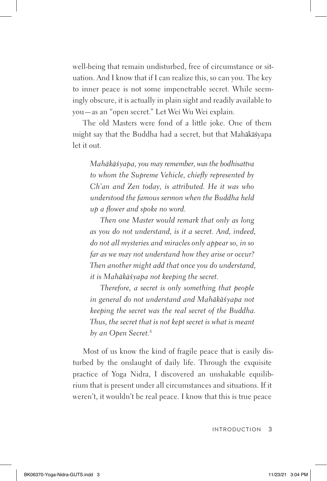well-being that remain undisturbed, free of circumstance or situation. And I know that if I can realize this, so can you. The key to inner peace is not some impenetrable secret. While seemingly obscure, it is actually in plain sight and readily available to you—as an "open secret." Let Wei Wu Wei explain.

The old Masters were fond of a little joke. One of them might say that the Buddha had a secret, but that Mahākāsyapa let it out.

*Mah k yapa, you may remember, was the bodhisattva to whom the Supreme Vehicle, chiefly represented by Ch'an and Zen today, is attributed. He it was who understood the famous sermon when the Buddha held up a flower and spoke no word.*

*Then one Master would remark that only as long as you do not understand, is it a secret. And, indeed, do not all mysteries and miracles only appear so, in so far as we may not understand how they arise or occur? Then another might add that once you do understand, it is Mahākāśyapa not keeping the secret.* 

*Therefore, a secret is only something that people in general do not understand and Mahākāśyapa not keeping the secret was the real secret of the Buddha. Thus, the secret that is not kept secret is what is meant by an Open Secret.8*

Most of us know the kind of fragile peace that is easily disturbed by the onslaught of daily life. Through the exquisite practice of Yoga Nidra, I discovered an unshakable equilibrium that is present under all circumstances and situations. If it weren't, it wouldn't be real peace. I know that this is true peace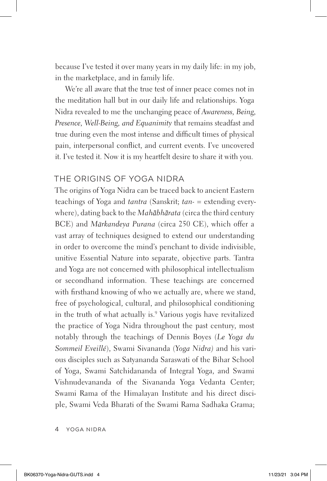because I've tested it over many years in my daily life: in my job, in the marketplace, and in family life.

We're all aware that the true test of inner peace comes not in the meditation hall but in our daily life and relationships. Yoga Nidra revealed to me the unchanging peace of *Awareness, Being, Presence, Well-Being, and Equanimity* that remains steadfast and true during even the most intense and difficult times of physical pain, interpersonal conflict, and current events. I've uncovered it. I've tested it. Now it is my heartfelt desire to share it with you.

#### THE ORIGINS OF YOGA NIDRA

The origins of Yoga Nidra can be traced back to ancient Eastern teachings of Yoga and *tantra* (Sanskrit; *tan-* = extending everywhere), dating back to the *Mahabharata* (circa the third century BCE) and *Mārkandeya Purana* (circa 250 CE), which offer a vast array of techniques designed to extend our understanding in order to overcome the mind's penchant to divide indivisible, unitive Essential Nature into separate, objective parts. Tantra and Yoga are not concerned with philosophical intellectualism or secondhand information. These teachings are concerned with firsthand knowing of who we actually are, where we stand, free of psychological, cultural, and philosophical conditioning in the truth of what actually is.9 Various yogis have revitalized the practice of Yoga Nidra throughout the past century, most notably through the teachings of Dennis Boyes (*Le Yoga du Sommeil Eveillé*), Swami Sivananda (*Yoga Nidra)* and his various disciples such as Satyananda Saraswati of the Bihar School of Yoga, Swami Satchidananda of Integral Yoga, and Swami Vishnudevananda of the Sivananda Yoga Vedanta Center; Swami Rama of the Himalayan Institute and his direct disciple, Swami Veda Bharati of the Swami Rama Sadhaka Grama;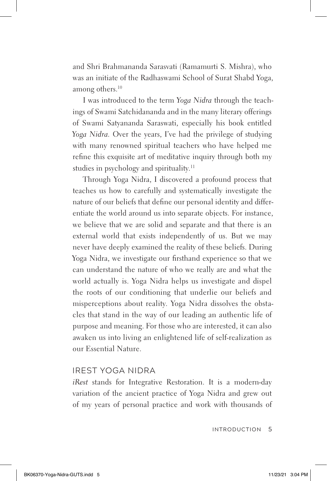and Shri Brahmananda Sarasvati (Ramamurti S. Mishra), who was an initiate of the Radhaswami School of Surat Shabd Yoga, among others.<sup>10</sup>

I was introduced to the term *Yoga Nidra* through the teachings of Swami Satchidananda and in the many literary offerings of Swami Satyananda Saraswati, especially his book entitled *Yoga Nidra.* Over the years, I've had the privilege of studying with many renowned spiritual teachers who have helped me refine this exquisite art of meditative inquiry through both my studies in psychology and spirituality.<sup>11</sup>

Through Yoga Nidra, I discovered a profound process that teaches us how to carefully and systematically investigate the nature of our beliefs that define our personal identity and differentiate the world around us into separate objects. For instance, we believe that we are solid and separate and that there is an external world that exists independently of us. But we may never have deeply examined the reality of these beliefs. During Yoga Nidra, we investigate our firsthand experience so that we can understand the nature of who we really are and what the world actually is. Yoga Nidra helps us investigate and dispel the roots of our conditioning that underlie our beliefs and misperceptions about reality. Yoga Nidra dissolves the obstacles that stand in the way of our leading an authentic life of purpose and meaning. For those who are interested, it can also awaken us into living an enlightened life of self-realization as our Essential Nature.

#### IREST YOGA NIDRA

*iRest* stands for Integrative Restoration. It is a modern-day variation of the ancient practice of Yoga Nidra and grew out of my years of personal practice and work with thousands of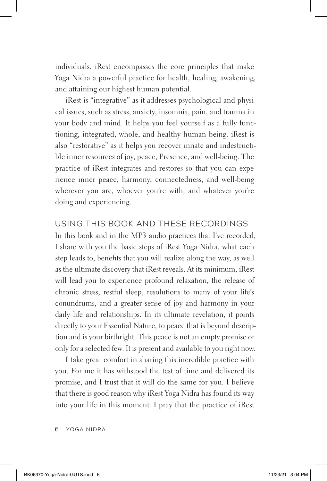individuals. iRest encompasses the core principles that make Yoga Nidra a powerful practice for health, healing, awakening, and attaining our highest human potential.

iRest is "integrative" as it addresses psychological and physical issues, such as stress, anxiety, insomnia, pain, and trauma in your body and mind. It helps you feel yourself as a fully functioning, integrated, whole, and healthy human being. iRest is also "restorative" as it helps you recover innate and indestructible inner resources of joy, peace, Presence, and well-being. The practice of iRest integrates and restores so that you can experience inner peace, harmony, connectedness, and well-being wherever you are, whoever you're with, and whatever you're doing and experiencing.

#### USING THIS BOOK AND THESE RECORDINGS

In this book and in the MP3 audio practices that I've recorded, I share with you the basic steps of iRest Yoga Nidra, what each step leads to, benefits that you will realize along the way, as well as the ultimate discovery that iRest reveals. At its minimum, iRest will lead you to experience profound relaxation, the release of chronic stress, restful sleep, resolutions to many of your life's conundrums, and a greater sense of joy and harmony in your daily life and relationships. In its ultimate revelation, it points directly to your Essential Nature, to peace that is beyond description and is your birthright. This peace is not an empty promise or only for a selected few. It is present and available to you right now.

I take great comfort in sharing this incredible practice with you. For me it has withstood the test of time and delivered its promise, and I trust that it will do the same for you. I believe that there is good reason why iRest Yoga Nidra has found its way into your life in this moment. I pray that the practice of iRest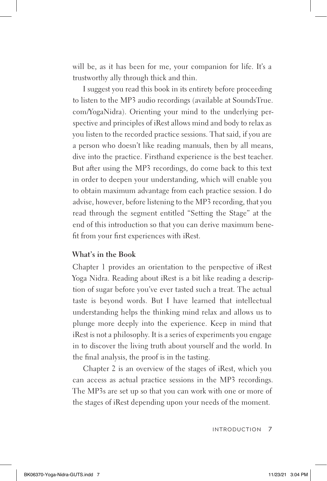will be, as it has been for me, your companion for life. It's a trustworthy ally through thick and thin.

I suggest you read this book in its entirety before proceeding to listen to the MP3 audio recordings (available at SoundsTrue. com/YogaNidra). Orienting your mind to the underlying perspective and principles of iRest allows mind and body to relax as you listen to the recorded practice sessions. That said, if you are a person who doesn't like reading manuals, then by all means, dive into the practice. Firsthand experience is the best teacher. But after using the MP3 recordings, do come back to this text in order to deepen your understanding, which will enable you to obtain maximum advantage from each practice session. I do advise, however, before listening to the MP3 recording, that you read through the segment entitled "Setting the Stage" at the end of this introduction so that you can derive maximum benefit from your first experiences with iRest.

#### **What's in the Book**

Chapter 1 provides an orientation to the perspective of iRest Yoga Nidra. Reading about iRest is a bit like reading a description of sugar before you've ever tasted such a treat. The actual taste is beyond words. But I have learned that intellectual understanding helps the thinking mind relax and allows us to plunge more deeply into the experience. Keep in mind that iRest is not a philosophy. It is a series of experiments you engage in to discover the living truth about yourself and the world. In the final analysis, the proof is in the tasting.

Chapter 2 is an overview of the stages of iRest, which you can access as actual practice sessions in the MP3 recordings. The MP3s are set up so that you can work with one or more of the stages of iRest depending upon your needs of the moment.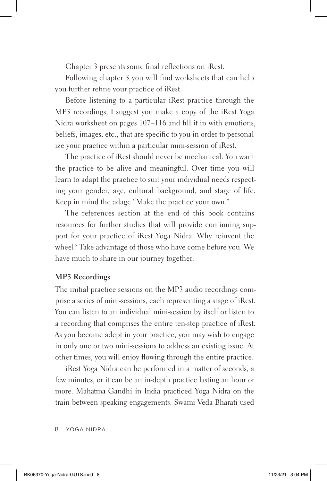Chapter 3 presents some final reflections on iRest.

Following chapter 3 you will find worksheets that can help you further refine your practice of iRest.

Before listening to a particular iRest practice through the MP3 recordings, I suggest you make a copy of the iRest Yoga Nidra worksheet on pages 107–116 and fill it in with emotions, beliefs, images, etc., that are specific to you in order to personalize your practice within a particular mini-session of iRest.

The practice of iRest should never be mechanical. You want the practice to be alive and meaningful. Over time you will learn to adapt the practice to suit your individual needs respecting your gender, age, cultural background, and stage of life. Keep in mind the adage "Make the practice your own."

The references section at the end of this book contains resources for further studies that will provide continuing support for your practice of iRest Yoga Nidra. Why reinvent the wheel? Take advantage of those who have come before you. We have much to share in our journey together.

#### **MP3 Recordings**

The initial practice sessions on the MP3 audio recordings comprise a series of mini-sessions, each representing a stage of iRest. You can listen to an individual mini-session by itself or listen to a recording that comprises the entire ten-step practice of iRest. As you become adept in your practice, you may wish to engage in only one or two mini-sessions to address an existing issue. At other times, you will enjoy flowing through the entire practice.

iRest Yoga Nidra can be performed in a matter of seconds, a few minutes, or it can be an in-depth practice lasting an hour or more. Mahatma Gandhi in India practiced Yoga Nidra on the train between speaking engagements. Swami Veda Bharati used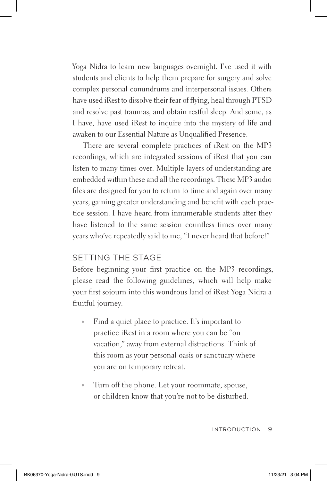Yoga Nidra to learn new languages overnight. I've used it with students and clients to help them prepare for surgery and solve complex personal conundrums and interpersonal issues. Others have used iRest to dissolve their fear of flying, heal through PTSD and resolve past traumas, and obtain restful sleep. And some, as I have, have used iRest to inquire into the mystery of life and awaken to our Essential Nature as Unqualified Presence.

There are several complete practices of iRest on the MP3 recordings, which are integrated sessions of iRest that you can listen to many times over. Multiple layers of understanding are embedded within these and all the recordings. These MP3 audio files are designed for you to return to time and again over many years, gaining greater understanding and benefit with each practice session. I have heard from innumerable students after they have listened to the same session countless times over many years who've repeatedly said to me, "I never heard that before!"

#### SETTING THE STAGE

Before beginning your first practice on the MP3 recordings, please read the following guidelines, which will help make your first sojourn into this wondrous land of iRest Yoga Nidra a fruitful journey.

- Find a quiet place to practice. It's important to practice iRest in a room where you can be "on vacation," away from external distractions. Think of this room as your personal oasis or sanctuary where you are on temporary retreat.
- Turn off the phone. Let your roommate, spouse, or children know that you're not to be disturbed.